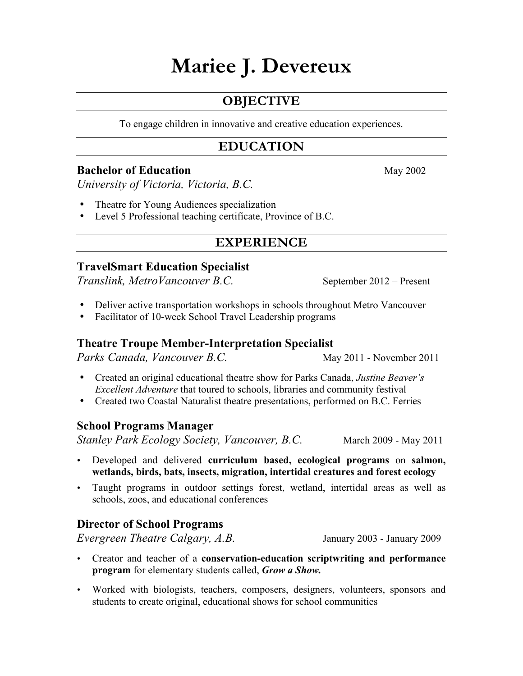# **Mariee J. Devereux**

# **OBJECTIVE**

To engage children in innovative and creative education experiences.

## **EDUCATION**

### **Bachelor of Education** May 2002

*University of Victoria, Victoria, B.C.*

- Theatre for Young Audiences specialization
- Level 5 Professional teaching certificate, Province of B.C.

## **EXPERIENCE**

## **TravelSmart Education Specialist**

*Translink, MetroVancouver B.C.* September 2012 – Present

- Deliver active transportation workshops in schools throughout Metro Vancouver
- Facilitator of 10-week School Travel Leadership programs

## **Theatre Troupe Member-Interpretation Specialist**

*Parks Canada, Vancouver B.C.* May 2011 - November 2011

- Created an original educational theatre show for Parks Canada, *Justine Beaver's Excellent Adventure* that toured to schools, libraries and community festival
- Created two Coastal Naturalist theatre presentations, performed on B.C. Ferries

## **School Programs Manager**

*Stanley Park Ecology Society, Vancouver, B.C.* March 2009 - May 2011

- Developed and delivered **curriculum based, ecological programs** on **salmon, wetlands, birds, bats, insects, migration, intertidal creatures and forest ecology**
- Taught programs in outdoor settings forest, wetland, intertidal areas as well as schools, zoos, and educational conferences

## **Director of School Programs**

*Evergreen Theatre Calgary, A.B.* January 2003 - January 2009

- Creator and teacher of a **conservation-education scriptwriting and performance program** for elementary students called, *Grow a Show.*
- Worked with biologists, teachers, composers, designers, volunteers, sponsors and students to create original, educational shows for school communities